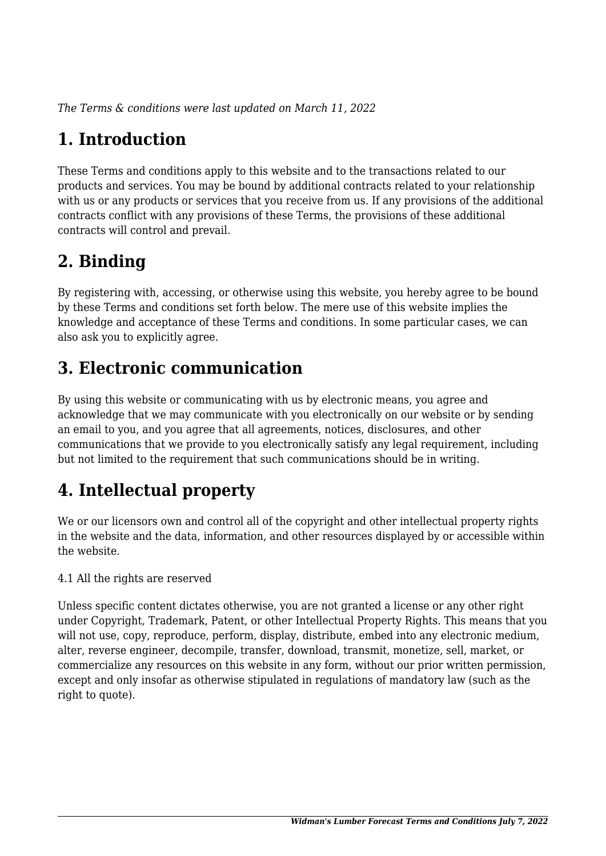*The Terms & conditions were last updated on March 11, 2022*

# **1. Introduction**

These Terms and conditions apply to this website and to the transactions related to our products and services. You may be bound by additional contracts related to your relationship with us or any products or services that you receive from us. If any provisions of the additional contracts conflict with any provisions of these Terms, the provisions of these additional contracts will control and prevail.

# **2. Binding**

By registering with, accessing, or otherwise using this website, you hereby agree to be bound by these Terms and conditions set forth below. The mere use of this website implies the knowledge and acceptance of these Terms and conditions. In some particular cases, we can also ask you to explicitly agree.

# **3. Electronic communication**

By using this website or communicating with us by electronic means, you agree and acknowledge that we may communicate with you electronically on our website or by sending an email to you, and you agree that all agreements, notices, disclosures, and other communications that we provide to you electronically satisfy any legal requirement, including but not limited to the requirement that such communications should be in writing.

# **4. Intellectual property**

We or our licensors own and control all of the copyright and other intellectual property rights in the website and the data, information, and other resources displayed by or accessible within the website.

4.1 All the rights are reserved

Unless specific content dictates otherwise, you are not granted a license or any other right under Copyright, Trademark, Patent, or other Intellectual Property Rights. This means that you will not use, copy, reproduce, perform, display, distribute, embed into any electronic medium, alter, reverse engineer, decompile, transfer, download, transmit, monetize, sell, market, or commercialize any resources on this website in any form, without our prior written permission, except and only insofar as otherwise stipulated in regulations of mandatory law (such as the right to quote).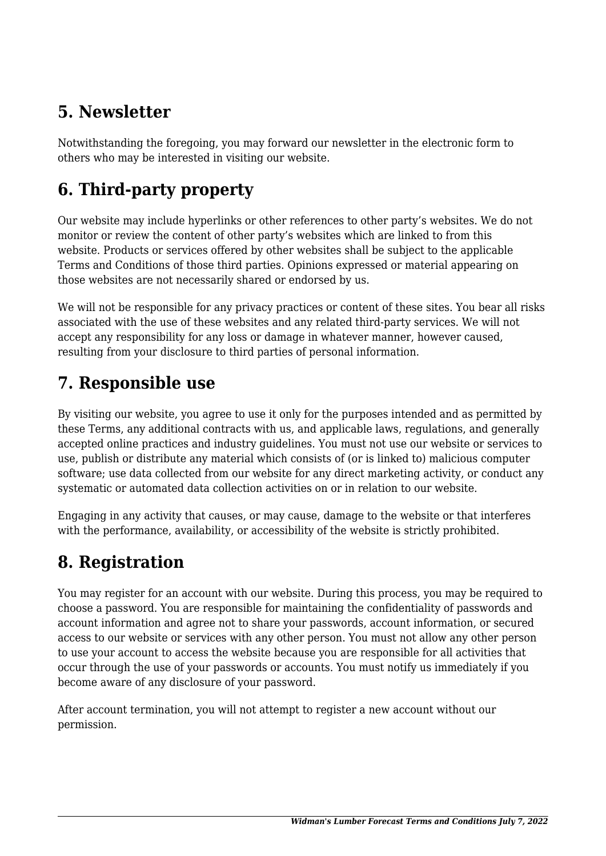# **5. Newsletter**

Notwithstanding the foregoing, you may forward our newsletter in the electronic form to others who may be interested in visiting our website.

# **6. Third-party property**

Our website may include hyperlinks or other references to other party's websites. We do not monitor or review the content of other party's websites which are linked to from this website. Products or services offered by other websites shall be subject to the applicable Terms and Conditions of those third parties. Opinions expressed or material appearing on those websites are not necessarily shared or endorsed by us.

We will not be responsible for any privacy practices or content of these sites. You bear all risks associated with the use of these websites and any related third-party services. We will not accept any responsibility for any loss or damage in whatever manner, however caused, resulting from your disclosure to third parties of personal information.

#### **7. Responsible use**

By visiting our website, you agree to use it only for the purposes intended and as permitted by these Terms, any additional contracts with us, and applicable laws, regulations, and generally accepted online practices and industry guidelines. You must not use our website or services to use, publish or distribute any material which consists of (or is linked to) malicious computer software; use data collected from our website for any direct marketing activity, or conduct any systematic or automated data collection activities on or in relation to our website.

Engaging in any activity that causes, or may cause, damage to the website or that interferes with the performance, availability, or accessibility of the website is strictly prohibited.

# **8. Registration**

You may register for an account with our website. During this process, you may be required to choose a password. You are responsible for maintaining the confidentiality of passwords and account information and agree not to share your passwords, account information, or secured access to our website or services with any other person. You must not allow any other person to use your account to access the website because you are responsible for all activities that occur through the use of your passwords or accounts. You must notify us immediately if you become aware of any disclosure of your password.

After account termination, you will not attempt to register a new account without our permission.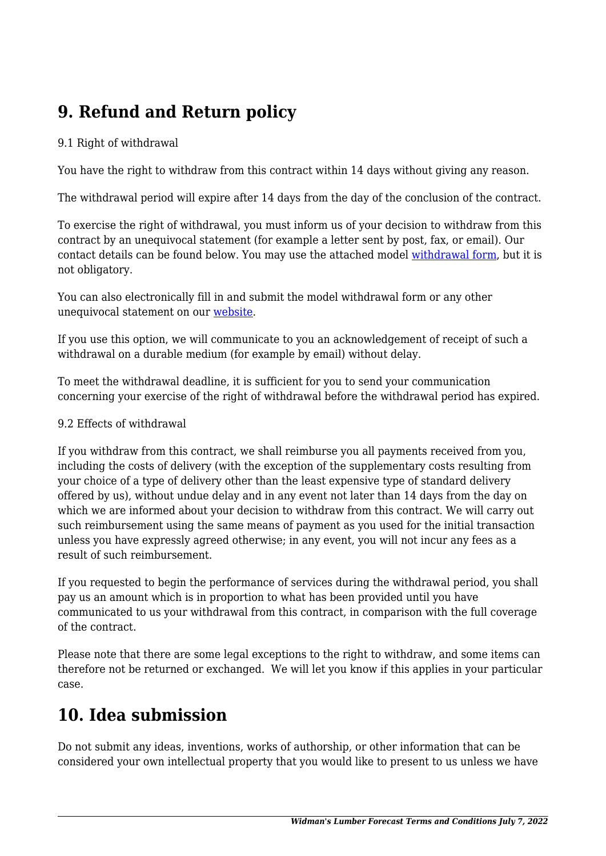# **9. Refund and Return policy**

#### 9.1 Right of withdrawal

You have the right to withdraw from this contract within 14 days without giving any reason.

The withdrawal period will expire after 14 days from the day of the conclusion of the contract.

To exercise the right of withdrawal, you must inform us of your decision to withdraw from this contract by an unequivocal statement (for example a letter sent by post, fax, or email). Our contact details can be found below. You may use the attached model [withdrawal form](https://lumberforecast.com/wp-content/uploads/complianz/withdrawal-forms/withdrawal-form-en.pdf), but it is not obligatory.

You can also electronically fill in and submit the model withdrawal form or any other unequivocal statement on our [website](https://lumberforecast.com/contact/).

If you use this option, we will communicate to you an acknowledgement of receipt of such a withdrawal on a durable medium (for example by email) without delay.

To meet the withdrawal deadline, it is sufficient for you to send your communication concerning your exercise of the right of withdrawal before the withdrawal period has expired.

#### 9.2 Effects of withdrawal

If you withdraw from this contract, we shall reimburse you all payments received from you, including the costs of delivery (with the exception of the supplementary costs resulting from your choice of a type of delivery other than the least expensive type of standard delivery offered by us), without undue delay and in any event not later than 14 days from the day on which we are informed about your decision to withdraw from this contract. We will carry out such reimbursement using the same means of payment as you used for the initial transaction unless you have expressly agreed otherwise; in any event, you will not incur any fees as a result of such reimbursement.

If you requested to begin the performance of services during the withdrawal period, you shall pay us an amount which is in proportion to what has been provided until you have communicated to us your withdrawal from this contract, in comparison with the full coverage of the contract.

Please note that there are some legal exceptions to the right to withdraw, and some items can therefore not be returned or exchanged. We will let you know if this applies in your particular case.

#### **10. Idea submission**

Do not submit any ideas, inventions, works of authorship, or other information that can be considered your own intellectual property that you would like to present to us unless we have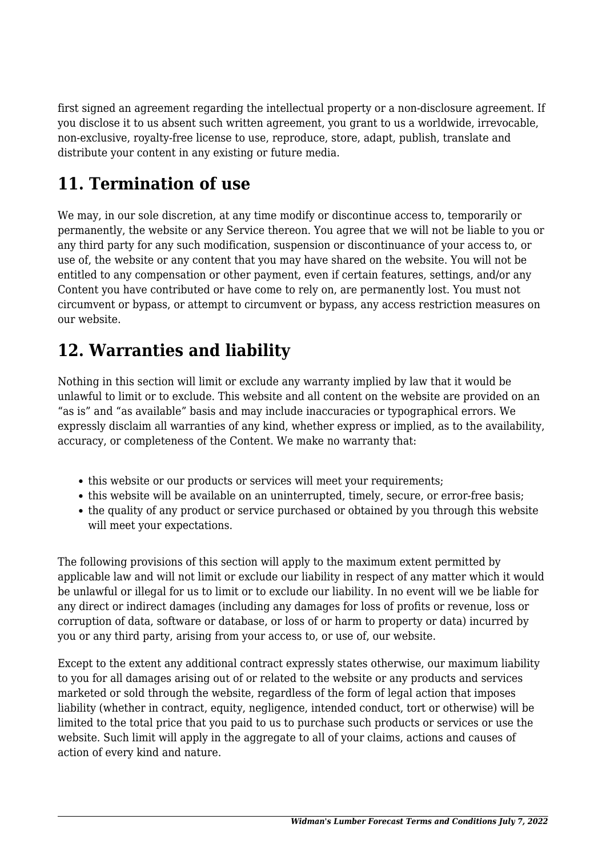first signed an agreement regarding the intellectual property or a non-disclosure agreement. If you disclose it to us absent such written agreement, you grant to us a worldwide, irrevocable, non-exclusive, royalty-free license to use, reproduce, store, adapt, publish, translate and distribute your content in any existing or future media.

# **11. Termination of use**

We may, in our sole discretion, at any time modify or discontinue access to, temporarily or permanently, the website or any Service thereon. You agree that we will not be liable to you or any third party for any such modification, suspension or discontinuance of your access to, or use of, the website or any content that you may have shared on the website. You will not be entitled to any compensation or other payment, even if certain features, settings, and/or any Content you have contributed or have come to rely on, are permanently lost. You must not circumvent or bypass, or attempt to circumvent or bypass, any access restriction measures on our website.

#### **12. Warranties and liability**

Nothing in this section will limit or exclude any warranty implied by law that it would be unlawful to limit or to exclude. This website and all content on the website are provided on an "as is" and "as available" basis and may include inaccuracies or typographical errors. We expressly disclaim all warranties of any kind, whether express or implied, as to the availability, accuracy, or completeness of the Content. We make no warranty that:

- this website or our products or services will meet your requirements;
- this website will be available on an uninterrupted, timely, secure, or error-free basis;
- the quality of any product or service purchased or obtained by you through this website will meet your expectations.

The following provisions of this section will apply to the maximum extent permitted by applicable law and will not limit or exclude our liability in respect of any matter which it would be unlawful or illegal for us to limit or to exclude our liability. In no event will we be liable for any direct or indirect damages (including any damages for loss of profits or revenue, loss or corruption of data, software or database, or loss of or harm to property or data) incurred by you or any third party, arising from your access to, or use of, our website.

Except to the extent any additional contract expressly states otherwise, our maximum liability to you for all damages arising out of or related to the website or any products and services marketed or sold through the website, regardless of the form of legal action that imposes liability (whether in contract, equity, negligence, intended conduct, tort or otherwise) will be limited to the total price that you paid to us to purchase such products or services or use the website. Such limit will apply in the aggregate to all of your claims, actions and causes of action of every kind and nature.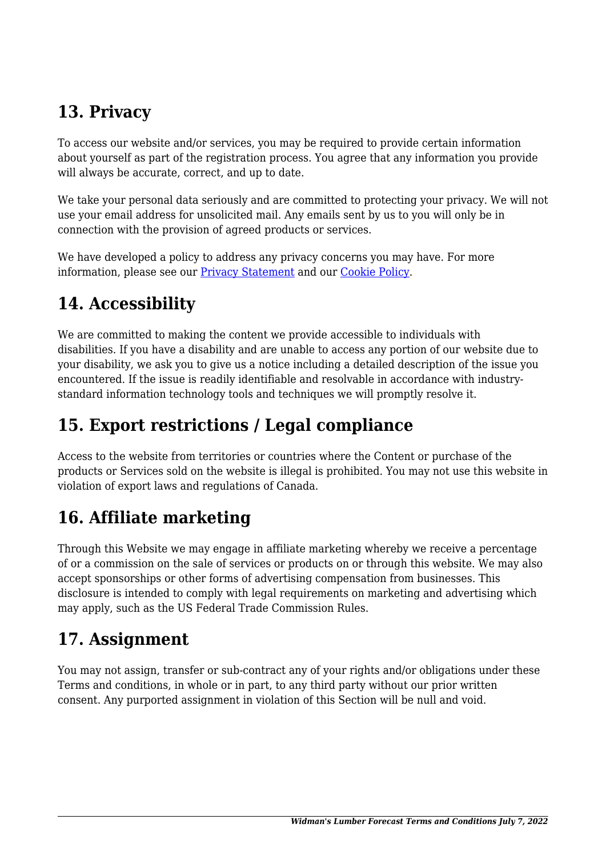# **13. Privacy**

To access our website and/or services, you may be required to provide certain information about yourself as part of the registration process. You agree that any information you provide will always be accurate, correct, and up to date.

We take your personal data seriously and are committed to protecting your privacy. We will not use your email address for unsolicited mail. Any emails sent by us to you will only be in connection with the provision of agreed products or services.

We have developed a policy to address any privacy concerns you may have. For more information, please see our Privacy Statement and our [Cookie Policy](https://lumberforecast.com/cookie-policy-us/).

# **14. Accessibility**

We are committed to making the content we provide accessible to individuals with disabilities. If you have a disability and are unable to access any portion of our website due to your disability, we ask you to give us a notice including a detailed description of the issue you encountered. If the issue is readily identifiable and resolvable in accordance with industrystandard information technology tools and techniques we will promptly resolve it.

# **15. Export restrictions / Legal compliance**

Access to the website from territories or countries where the Content or purchase of the products or Services sold on the website is illegal is prohibited. You may not use this website in violation of export laws and regulations of Canada.

# **16. Affiliate marketing**

Through this Website we may engage in affiliate marketing whereby we receive a percentage of or a commission on the sale of services or products on or through this website. We may also accept sponsorships or other forms of advertising compensation from businesses. This disclosure is intended to comply with legal requirements on marketing and advertising which may apply, such as the US Federal Trade Commission Rules.

# **17. Assignment**

You may not assign, transfer or sub-contract any of your rights and/or obligations under these Terms and conditions, in whole or in part, to any third party without our prior written consent. Any purported assignment in violation of this Section will be null and void.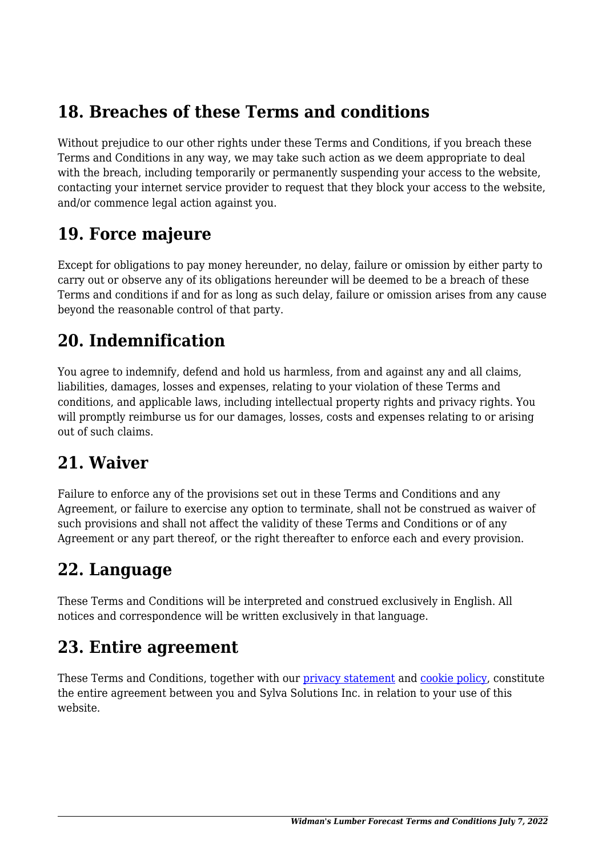#### **18. Breaches of these Terms and conditions**

Without prejudice to our other rights under these Terms and Conditions, if you breach these Terms and Conditions in any way, we may take such action as we deem appropriate to deal with the breach, including temporarily or permanently suspending your access to the website, contacting your internet service provider to request that they block your access to the website, and/or commence legal action against you.

#### **19. Force majeure**

Except for obligations to pay money hereunder, no delay, failure or omission by either party to carry out or observe any of its obligations hereunder will be deemed to be a breach of these Terms and conditions if and for as long as such delay, failure or omission arises from any cause beyond the reasonable control of that party.

#### **20. Indemnification**

You agree to indemnify, defend and hold us harmless, from and against any and all claims, liabilities, damages, losses and expenses, relating to your violation of these Terms and conditions, and applicable laws, including intellectual property rights and privacy rights. You will promptly reimburse us for our damages, losses, costs and expenses relating to or arising out of such claims.

#### **21. Waiver**

Failure to enforce any of the provisions set out in these Terms and Conditions and any Agreement, or failure to exercise any option to terminate, shall not be construed as waiver of such provisions and shall not affect the validity of these Terms and Conditions or of any Agreement or any part thereof, or the right thereafter to enforce each and every provision.

#### **22. Language**

These Terms and Conditions will be interpreted and construed exclusively in English. All notices and correspondence will be written exclusively in that language.

#### **23. Entire agreement**

These Terms and Conditions, together with our privacy statement and [cookie policy,](https://lumberforecast.com/cookie-policy-us/) constitute the entire agreement between you and Sylva Solutions Inc. in relation to your use of this website.